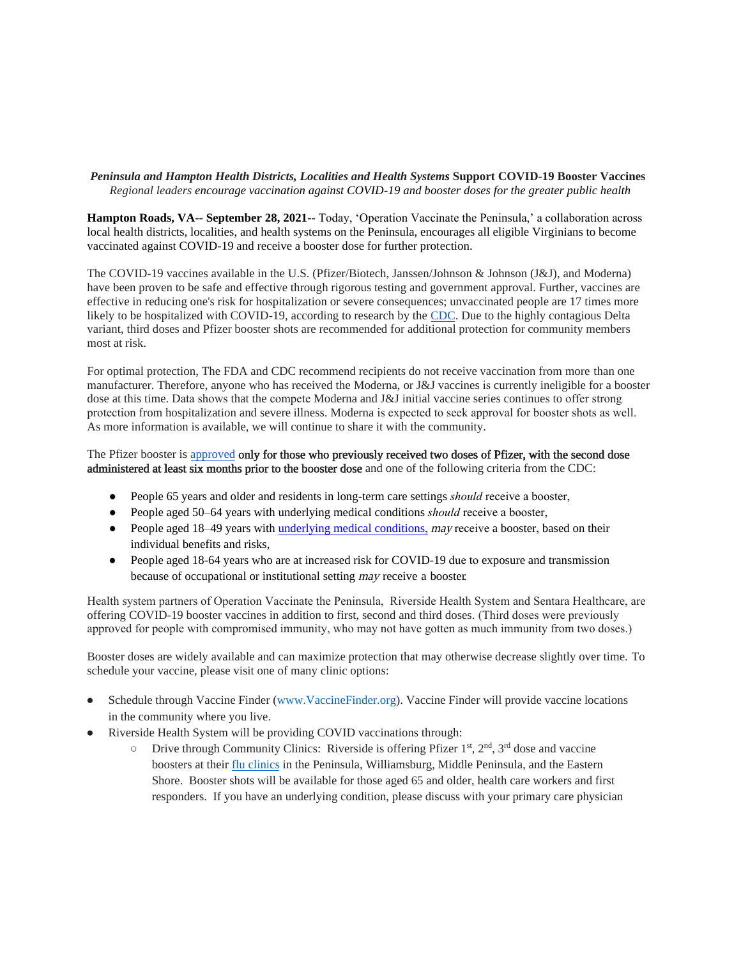## *Peninsula and Hampton Health Districts, Localities and Health Systems* **Support COVID-19 Booster Vaccines** *Regional leaders encourage vaccination against COVID-19 and booster doses for the greater public health*

**Hampton Roads, VA-- September 28, 2021--** Today, 'Operation Vaccinate the Peninsula,' a collaboration across local health districts, localities, and health systems on the Peninsula, encourages all eligible Virginians to become vaccinated against COVID-19 and receive a booster dose for further protection.

The COVID-19 vaccines available in the U.S. (Pfizer/Biotech, Janssen/Johnson & Johnson (J&J), and Moderna) have been proven to be safe and effective through rigorous testing and government approval. Further, vaccines are effective in reducing one's risk for hospitalization or severe consequences; unvaccinated people are 17 times more likely to be hospitalized with COVID-19, according to research by th[e CDC.](https://www.cdc.gov/mmwr/volumes/70/wr/mm7037e1.htm?s_cid=mm7037e1_w) Due to the highly contagious Delta variant, third doses and Pfizer booster shots are recommended for additional protection for community members most at risk.

For optimal protection, The FDA and CDC recommend recipients do not receive vaccination from more than one manufacturer. Therefore, anyone who has received the Moderna, or J&J vaccines is currently ineligible for a booster dose at this time. Data shows that the compete Moderna and J&J initial vaccine series continues to offer strong protection from hospitalization and severe illness. Moderna is expected to seek approval for booster shots as well. As more information is available, we will continue to share it with the community.

## The Pfizer booster is [approved](https://www.fda.gov/media/144414/download) only for those who previously received two doses of Pfizer, with the second dose administered at least six months prior to the booster dose and one of the following criteria from the CDC:

- People 65 years and older and residents in long-term care settings *should* receive a booster,
- People aged 50–64 years with underlying medical conditions *should* receive a booster,
- People aged 18–49 years with underlying medical conditions, may receive a booster, based on their individual benefits and risks,
- People aged 18-64 years who are at increased risk for COVID-19 due to exposure and transmission because of occupational or institutional setting may receive a booster.

Health system partners of Operation Vaccinate the Peninsula, Riverside Health System and Sentara Healthcare, are offering COVID-19 booster vaccines in addition to first, second and third doses. (Third doses were previously approved for people with compromised immunity, who may not have gotten as much immunity from two doses.)

Booster doses are widely available and can maximize protection that may otherwise decrease slightly over time. To schedule your vaccine, please visit one of many clinic options:

- Schedule through Vaccine Finder [\(www.VaccineFinder.org\).](http://www.vaccinefinder.org/) Vaccine Finder will provide vaccine locations in the community where you live.
- Riverside Health System will be providing COVID vaccinations through:
	- $\circ$  Drive through Community Clinics: Riverside is offering Pfizer 1<sup>st</sup>, 2<sup>nd</sup>, 3<sup>rd</sup> dose and vaccine boosters at their [flu clinics](https://www.riversideonline.com/health-resources/events/programs/get-ready-for-the-flu-season) in the Peninsula, Williamsburg, Middle Peninsula, and the Eastern Shore. Booster shots will be available for those aged 65 and older, health care workers and first responders. If you have an underlying condition, please discuss with your primary care physician